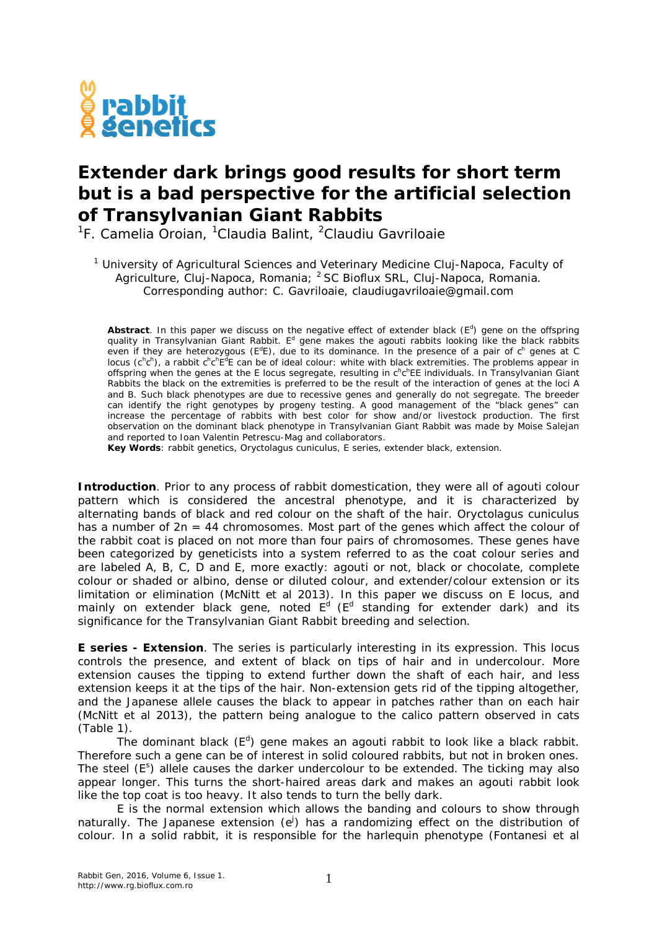

## **Extender dark brings good results for short term but is a bad perspective for the artificial selection of Transylvanian Giant Rabbits**

<sup>1</sup>F. Camelia Oroian, <sup>1</sup>Claudia Balint, <sup>2</sup>Claudiu Gavriloaie

<sup>1</sup> University of Agricultural Sciences and Veterinary Medicine Cluj-Napoca, Faculty of Agriculture, Cluj-Napoca, Romania; <sup>2</sup> SC Bioflux SRL, Cluj-Napoca, Romania. Corresponding author: C. Gavriloaie, claudiugavriloaie@gmail.com

Abstract. In this paper we discuss on the negative effect of extender black  $(E^d)$  gene on the offspring quality in Transylvanian Giant Rabbit. E<sup>d</sup> gene makes the agouti rabbits looking like the black rabbits even if they are heterozygous ( $E^dE$ ), due to its dominance. In the presence of a pair of  $c^h$  genes at C locus (c<sup>h</sup>c<sup>h</sup>), a rabbit c<sup>h</sup>c<sup>h</sup>E<sup>d</sup>E can be of ideal colour: white with black extremities. The problems appear in offspring when the genes at the E locus segregate, resulting in c<sup>h</sup>c<sup>h</sup>EE individuals. In Transylvanian Giant Rabbits the black on the extremities is preferred to be the result of the interaction of genes at the loci A and B. Such black phenotypes are due to recessive genes and generally do not segregate. The breeder can identify the right genotypes by progeny testing. A good management of the "black genes" can increase the percentage of rabbits with best color for show and/or livestock production. The first observation on the dominant black phenotype in Transylvanian Giant Rabbit was made by Moise Salejan and reported to Ioan Valentin Petrescu-Mag and collaborators.

**Key Words**: rabbit genetics, *Oryctolagus cuniculus*, E series, extender black, extension.

**Introduction**. Prior to any process of rabbit domestication, they were all of agouti colour pattern which is considered the ancestral phenotype, and it is characterized by alternating bands of black and red colour on the shaft of the hair. *Oryctolagus cuniculus* has a number of  $2n = 44$  chromosomes. Most part of the genes which affect the colour of the rabbit coat is placed on not more than four pairs of chromosomes. These genes have been categorized by geneticists into a system referred to as the coat colour series and are labeled A, B, C, D and E, more exactly: agouti or not, black or chocolate, complete colour or shaded or albino, dense or diluted colour, and extender/colour extension or its limitation or elimination (McNitt et al 2013). In this paper we discuss on E locus, and mainly on extender black gene, noted  $E^d$  ( $E^d$  standing for extender dark) and its significance for the Transylvanian Giant Rabbit breeding and selection.

**E series - Extension**. The series is particularly interesting in its expression. This locus controls the presence, and extent of black on tips of hair and in undercolour. More extension causes the tipping to extend further down the shaft of each hair, and less extension keeps it at the tips of the hair. Non-extension gets rid of the tipping altogether, and the Japanese allele causes the black to appear in patches rather than on each hair (McNitt et al 2013), the pattern being analogue to the calico pattern observed in cats (Table 1).

The dominant black  $(E^d)$  gene makes an agouti rabbit to look like a black rabbit. Therefore such a gene can be of interest in solid coloured rabbits, but not in broken ones. The steel (E<sup>s</sup>) allele causes the darker undercolour to be extended. The ticking may also appear longer. This turns the short-haired areas dark and makes an agouti rabbit look like the top coat is too heavy. It also tends to turn the belly dark.

E is the normal extension which allows the banding and colours to show through naturally. The Japanese extension (e<sup>j</sup>) has a randomizing effect on the distribution of colour. In a solid rabbit, it is responsible for the harlequin phenotype (Fontanesi et al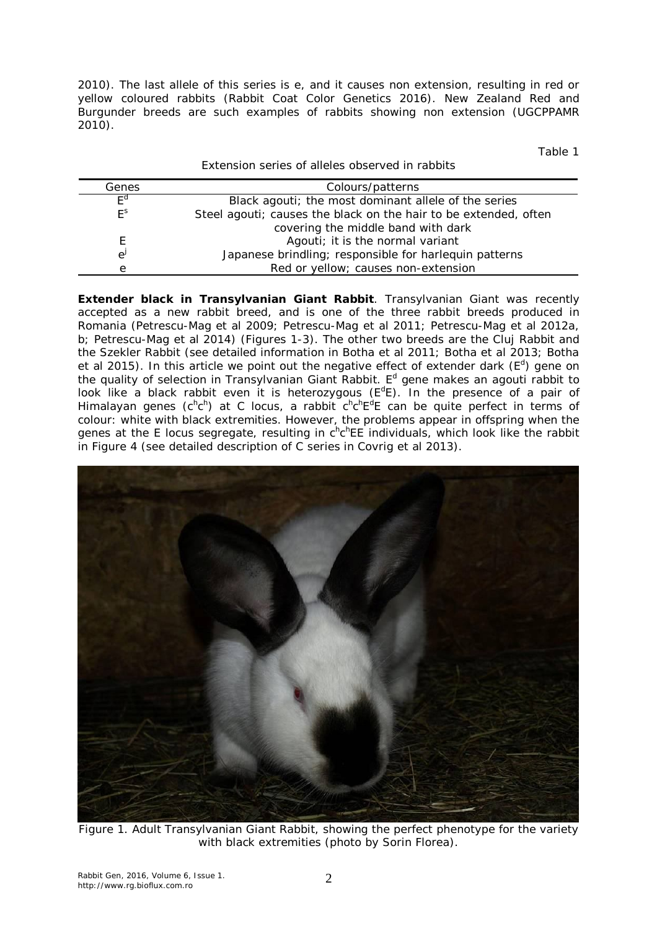2010). The last allele of this series is e, and it causes non extension, resulting in red or yellow coloured rabbits (Rabbit Coat Color Genetics 2016). New Zealand Red and Burgunder breeds are such examples of rabbits showing non extension (UGCPPAMR 2010).

Table 1

|              | Extension series of alleles observed in rabbits                  |
|--------------|------------------------------------------------------------------|
| Genes        | Colours/patterns                                                 |
| $F^{\alpha}$ | Black agouti; the most dominant allele of the series             |
| $E^s$        | Steel agouti; causes the black on the hair to be extended, often |
|              | covering the middle band with dark                               |
| F.           | Agouti; it is the normal variant                                 |
| e            | Japanese brindling; responsible for harlequin patterns           |
| e            | Red or yellow; causes non-extension                              |

**Extender black in Transylvanian Giant Rabbit**. Transylvanian Giant was recently accepted as a new rabbit breed, and is one of the three rabbit breeds produced in Romania (Petrescu-Mag et al 2009; Petrescu-Mag et al 2011; Petrescu-Mag et al 2012a, b; Petrescu-Mag et al 2014) (Figures 1-3). The other two breeds are the Cluj Rabbit and the Szekler Rabbit (see detailed information in Botha et al 2011; Botha et al 2013; Botha et al 2015). In this article we point out the negative effect of extender dark  $(E^d)$  gene on the quality of selection in Transylvanian Giant Rabbit. E<sup>d</sup> gene makes an agouti rabbit to look like a black rabbit even it is heterozygous  $(E^dE)$ . In the presence of a pair of Himalayan genes (c<sup>h</sup>c<sup>h</sup>) at C locus, a rabbit c<sup>h</sup>c<sup>h</sup>E<sup>d</sup>E can be quite perfect in terms of colour: white with black extremities. However, the problems appear in offspring when the genes at the E locus segregate, resulting in c<sup>h</sup>c<sup>h</sup>EE individuals, which look like the rabbit in Figure 4 (see detailed description of C series in Covrig et al 2013).



Figure 1. Adult Transylvanian Giant Rabbit, showing the perfect phenotype for the variety with black extremities (photo by Sorin Florea).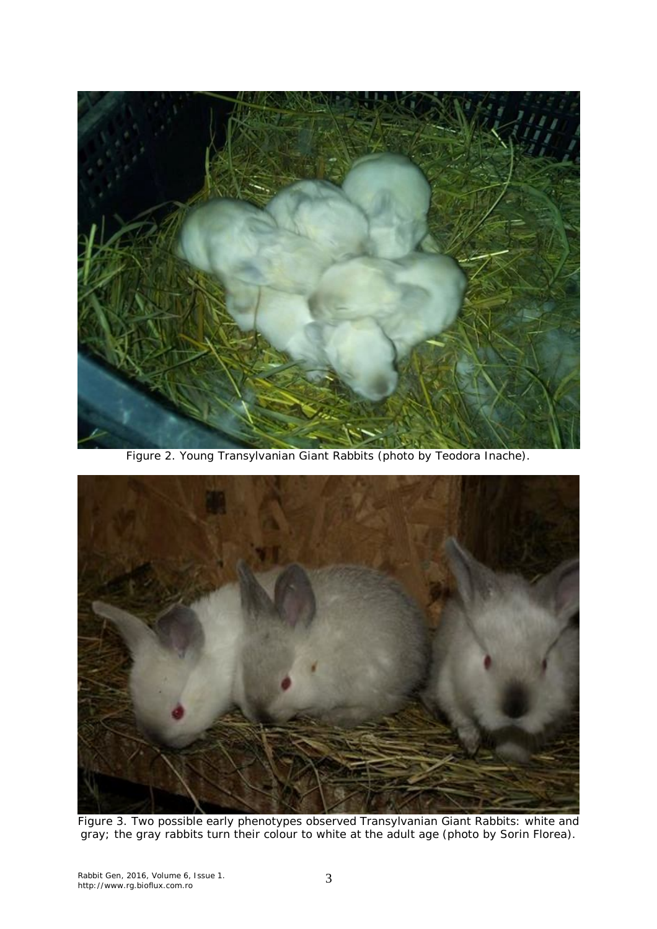

Figure 2. Young Transylvanian Giant Rabbits (photo by Teodora Inache).



Figure 3. Two possible early phenotypes observed Transylvanian Giant Rabbits: white and gray; the gray rabbits turn their colour to white at the adult age (photo by Sorin Florea).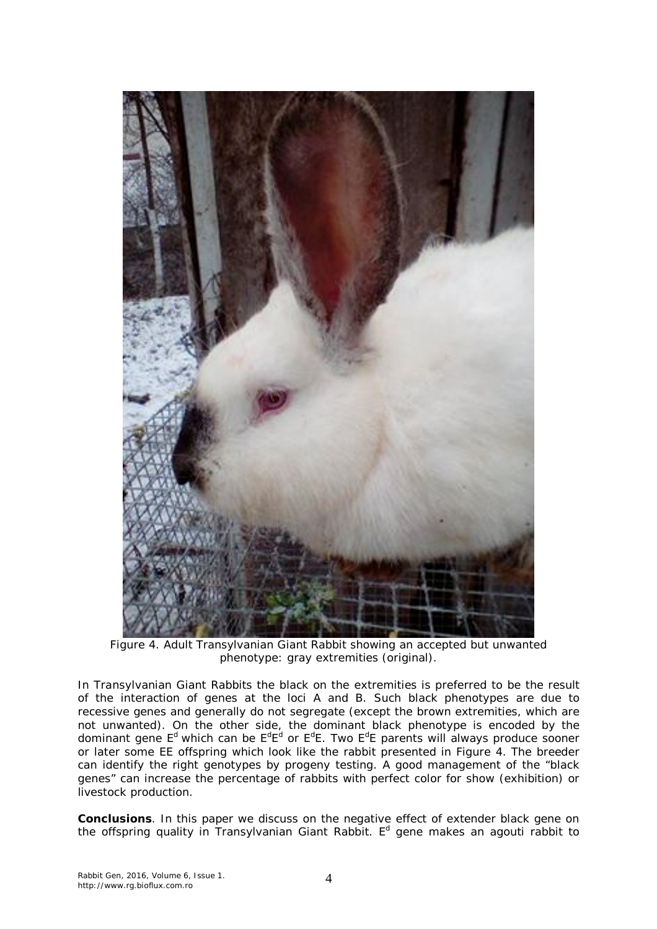

Figure 4. Adult Transylvanian Giant Rabbit showing an accepted but unwanted phenotype: gray extremities (original).

In Transylvanian Giant Rabbits the black on the extremities is preferred to be the result of the interaction of genes at the loci A and B. Such black phenotypes are due to recessive genes and generally do not segregate (except the brown extremities, which are not unwanted). On the other side, the dominant black phenotype is encoded by the dominant gene E<sup>d</sup> which can be E<sup>d</sup>E<sup>d</sup> or E<sup>d</sup>E. Two E<sup>d</sup>E parents will always produce sooner or later some EE offspring which look like the rabbit presented in Figure 4. The breeder can identify the right genotypes by progeny testing. A good management of the "black genes" can increase the percentage of rabbits with perfect color for show (exhibition) or livestock production.

**Conclusions**. In this paper we discuss on the negative effect of extender black gene on the offspring quality in Transylvanian Giant Rabbit. E<sup>d</sup> gene makes an agouti rabbit to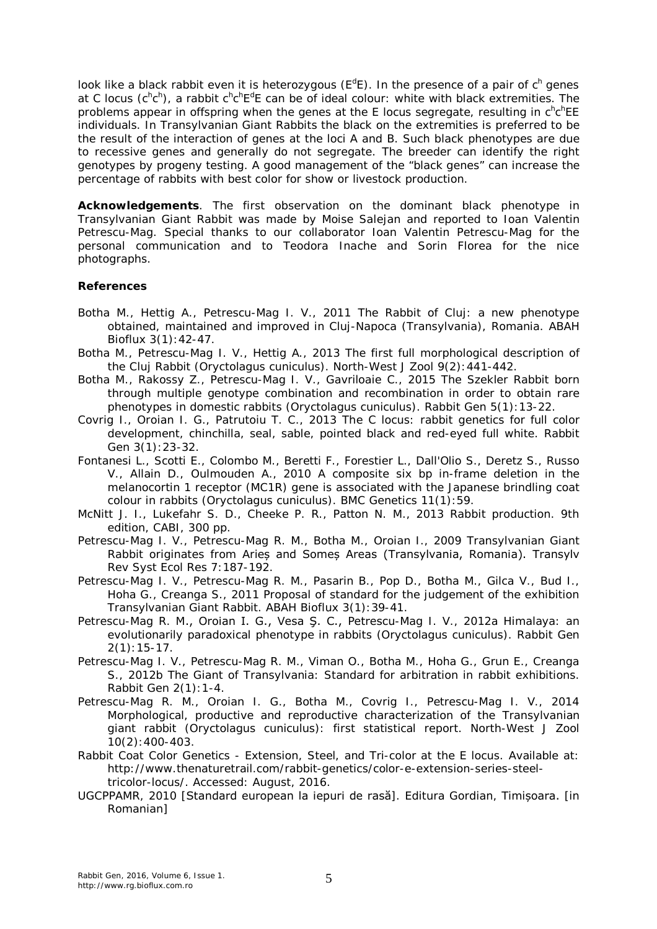look like a black rabbit even it is heterozygous ( $E^dE$ ). In the presence of a pair of c<sup>h</sup> genes at C locus (c<sup>h</sup>c<sup>h</sup>), a rabbit c<sup>h</sup>c<sup>h</sup>E<sup>d</sup>E can be of ideal colour: white with black extremities. The problems appear in offspring when the genes at the E locus segregate, resulting in c<sup>h</sup>c<sup>h</sup>EE individuals. In Transylvanian Giant Rabbits the black on the extremities is preferred to be the result of the interaction of genes at the loci A and B. Such black phenotypes are due to recessive genes and generally do not segregate. The breeder can identify the right genotypes by progeny testing. A good management of the "black genes" can increase the percentage of rabbits with best color for show or livestock production.

**Acknowledgements**. The first observation on the dominant black phenotype in Transylvanian Giant Rabbit was made by Moise Salejan and reported to Ioan Valentin Petrescu-Mag. Special thanks to our collaborator Ioan Valentin Petrescu-Mag for the personal communication and to Teodora Inache and Sorin Florea for the nice photographs.

## **References**

- Botha M., Hettig A., Petrescu-Mag I. V., 2011 The Rabbit of Cluj: a new phenotype obtained, maintained and improved in Cluj-Napoca (Transylvania), Romania. ABAH Bioflux 3(1):42-47.
- Botha M., Petrescu-Mag I. V., Hettig A., 2013 The first full morphological description of the Cluj Rabbit (*Oryctolagus cuniculus*). North-West J Zool 9(2):441-442.
- Botha M., Rakossy Z., Petrescu-Mag I. V., Gavriloaie C., 2015 The Szekler Rabbit born through multiple genotype combination and recombination in order to obtain rare phenotypes in domestic rabbits (*Oryctolagus cuniculus*). Rabbit Gen 5(1):13-22.
- Covrig I., Oroian I. G., Patrutoiu T. C., 2013 The C locus: rabbit genetics for full color development, chinchilla, seal, sable, pointed black and red-eyed full white. Rabbit Gen 3(1):23-32.
- Fontanesi L., Scotti E., Colombo M., Beretti F., Forestier L., Dall'Olio S., Deretz S., Russo V., Allain D., Oulmouden A., 2010 A composite six bp in-frame deletion in the melanocortin 1 receptor (MC1R) gene is associated with the Japanese brindling coat colour in rabbits (*Oryctolagus cuniculus*). BMC Genetics 11(1):59.
- McNitt J. I., Lukefahr S. D., Cheeke P. R., Patton N. M., 2013 Rabbit production. 9th edition, CABI, 300 pp.
- Petrescu-Mag I. V., Petrescu-Mag R. M., Botha M., Oroian I., 2009 Transylvanian Giant Rabbit originates from Arieș and Someș Areas (Transylvania, Romania). Transylv Rev Syst Ecol Res 7:187-192.
- Petrescu-Mag I. V., Petrescu-Mag R. M., Pasarin B., Pop D., Botha M., Gilca V., Bud I., Hoha G., Creanga S., 2011 Proposal of standard for the judgement of the exhibition Transylvanian Giant Rabbit. ABAH Bioflux 3(1):39-41.
- Petrescu-Mag R. M., Oroian I. G., Vesa Ş. C., Petrescu-Mag I. V., 2012a Himalaya: an evolutionarily paradoxical phenotype in rabbits (*Oryctolagus cuniculus*). Rabbit Gen 2(1):15-17.
- Petrescu-Mag I. V., Petrescu-Mag R. M., Viman O., Botha M., Hoha G., Grun E., Creanga S., 2012b The Giant of Transylvania: Standard for arbitration in rabbit exhibitions. Rabbit Gen 2(1):1-4.
- Petrescu-Mag R. M., Oroian I. G., Botha M., Covrig I., Petrescu-Mag I. V., 2014 Morphological, productive and reproductive characterization of the Transylvanian giant rabbit (*Oryctolagus cuniculus*): first statistical report. North-West J Zool 10(2):400-403.
- Rabbit Coat Color Genetics Extension, Steel, and Tri-color at the E locus. Available at: http://www.thenaturetrail.com/rabbit-genetics/color-e-extension-series-steeltricolor-locus/. Accessed: August, 2016.
- UGCPPAMR, 2010 [Standard european la iepuri de rasă]. Editura Gordian, Timișoara. [in Romanian]